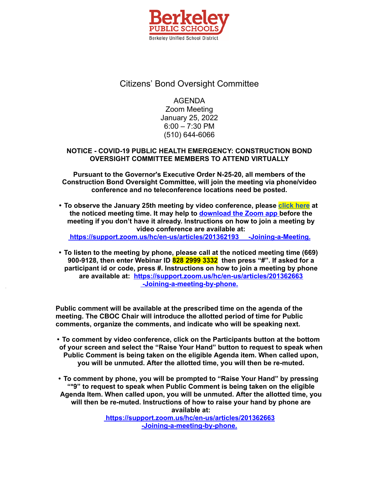

# Citizens' Bond Oversight Committee

AGENDA Zoom Meeting January 25, 2022 6:00 – 7:30 PM (510) 644-6066

## **NOTICE - COVID-19 PUBLIC HEALTH EMERGENCY: CONSTRUCTION BOND OVERSIGHT COMMITTEE MEMBERS TO ATTEND VIRTUALLY**

**Pursuant to the Governor's Executive Order N-25-20, all members of the Construction Bond Oversight Committee, will join the meeting via phone/video conference and no teleconference locations need be posted.**

**• To observe the January 25th meeting by video conference, please [click](https://berkeley-net.zoom.u0s/j/82829993332?pwd=UDE5WW1Ld0ZsR2hKdmN4R1FoZTRtUT09) here at the noticed meeting time. It may help to [download](https://zoom.us/support/download) the Zoom app before the meeting if you don't have it already. Instructions on how to join a meeting by video conference are available at:**

**<https://support.zoom.us/hc/en-us/articles/201362193> -Joining-a-Meeting.**

**• To listen to the meeting by phone, please call at the noticed meeting time (669) 900-9128, then enter Webinar ID 828 2999 3332 then press "#". If asked for a participant id or code, press #. Instructions on how to join a meeting by phone are available at: <https://support.zoom.us/hc/en-us/articles/201362663> [-Joining-a-meeting-by-phone.](https://support.zoom.us/hc/en-us/articles/201362663)**

**Public comment will be available at the prescribed time on the agenda of the meeting. The CBOC Chair will introduce the allotted period of time for Public comments, organize the comments, and indicate who will be speaking next.**

**• To comment by video conference, click on the Participants button at the bottom of your screen and select the "Raise Your Hand" button to request to speak when Public Comment is being taken on the eligible Agenda item. When called upon, you will be unmuted. After the allotted time, you will then be re-muted.**

**• To comment by phone, you will be prompted to "Raise Your Hand" by pressing "\*9" to request to speak when Public Comment is being taken on the eligible Agenda Item. When called upon, you will be unmuted. After the allotted time, you will then be re-muted. Instructions of how to raise your hand by phone are available at: <https://support.zoom.us/hc/en-us/articles/201362663>**

**[-Joining-a-meeting-by-phone.](https://support.zoom.us/hc/en-us/articles/201362663)**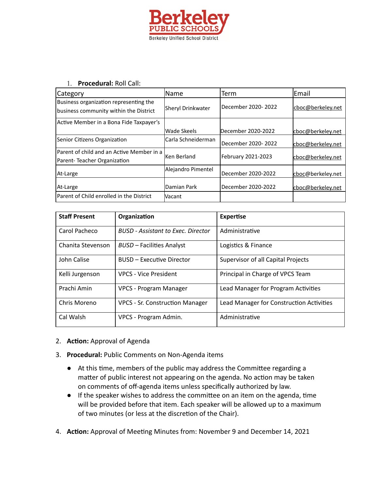

#### 1. **Procedural:** Roll Call:

| <b>Category</b>                                                                  | <b>Name</b>         | Term               | lEmail            |
|----------------------------------------------------------------------------------|---------------------|--------------------|-------------------|
| Business organization representing the<br>business community within the District | Sheryl Drinkwater   | December 2020-2022 | cboc@berkeley.net |
| Active Member in a Bona Fide Taxpayer's                                          |                     |                    |                   |
|                                                                                  | <b>Wade Skeels</b>  | December 2020-2022 | cboc@berkeley.net |
| Senior Citizens Organization                                                     | lCarla Schneiderman | December 2020-2022 | cboc@berkeley.net |
| Parent of child and an Active Member in a<br>Parent-Teacher Organization         | Ken Berland         | February 2021-2023 | cboc@berkeley.net |
| At-Large                                                                         | Alejandro Pimentel  | December 2020-2022 | cboc@berkeley.net |
| At-Large                                                                         | Damian Park         | December 2020-2022 | cboc@berkeley.net |
| Parent of Child enrolled in the District                                         | Vacant              |                    |                   |

| <b>Staff Present</b> | Organization                              | <b>Expertise</b>                         |
|----------------------|-------------------------------------------|------------------------------------------|
| Carol Pacheco        | <b>BUSD</b> - Assistant to Exec. Director | Administrative                           |
| Chanita Stevenson    | <b>BUSD</b> – Facilities Analyst          | Logistics & Finance                      |
| John Calise          | <b>BUSD – Executive Director</b>          | Supervisor of all Capital Projects       |
| Kelli Jurgenson      | <b>VPCS - Vice President</b>              | Principal in Charge of VPCS Team         |
| Prachi Amin          | VPCS - Program Manager                    | Lead Manager for Program Activities      |
| Chris Moreno         | <b>VPCS - Sr. Construction Manager</b>    | Lead Manager for Construction Activities |
| Cal Walsh            | VPCS - Program Admin.                     | Administrative                           |

### 2. **Action:** Approval of Agenda

- 3. **Procedural:** Public Comments on Non-Agenda items
	- At this time, members of the public may address the Committee regarding a matter of public interest not appearing on the agenda. No action may be taken on comments of off-agenda items unless specifically authorized by law.
	- If the speaker wishes to address the committee on an item on the agenda, time will be provided before that item. Each speaker will be allowed up to a maximum of two minutes (or less at the discretion of the Chair).
- 4. Action: Approval of Meeting Minutes from: November 9 and December 14, 2021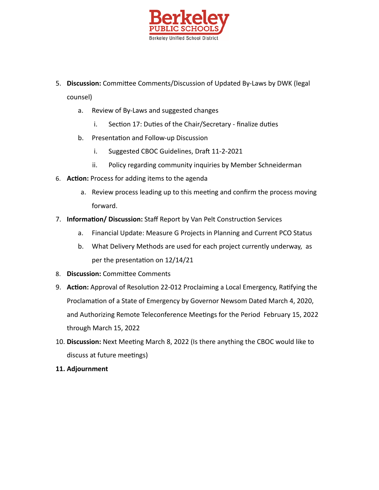

- 5. Discussion: Committee Comments/Discussion of Updated By-Laws by DWK (legal counsel)
	- a. Review of By-Laws and suggested changes
		- i. Section 17: Duties of the Chair/Secretary finalize duties
	- b. Presentation and Follow-up Discussion
		- i. Suggested CBOC Guidelines, Draft 11-2-2021
		- ii. Policy regarding community inquiries by Member Schneiderman
- 6. **Action:** Process for adding items to the agenda
	- a. Review process leading up to this meeting and confirm the process moving forward.
- 7. **Information/ Discussion:** Staff Report by Van Pelt Construction Services
	- a. Financial Update: Measure G Projects in Planning and Current PCO Status
	- b. What Delivery Methods are used for each project currently underway, as per the presentation on 12/14/21
- 8. **Discussion:** Committee Comments
- 9. **Action:** Approval of Resolution 22-012 Proclaiming a Local Emergency, Ratifying the Proclamation of a State of Emergency by Governor Newsom Dated March 4, 2020, and Authorizing Remote Teleconference Meetings for the Period February 15, 2022 through March 15, 2022
- 10. Discussion: Next Meeting March 8, 2022 (Is there anything the CBOC would like to discuss at future meetings)
- **11. Adjournment**